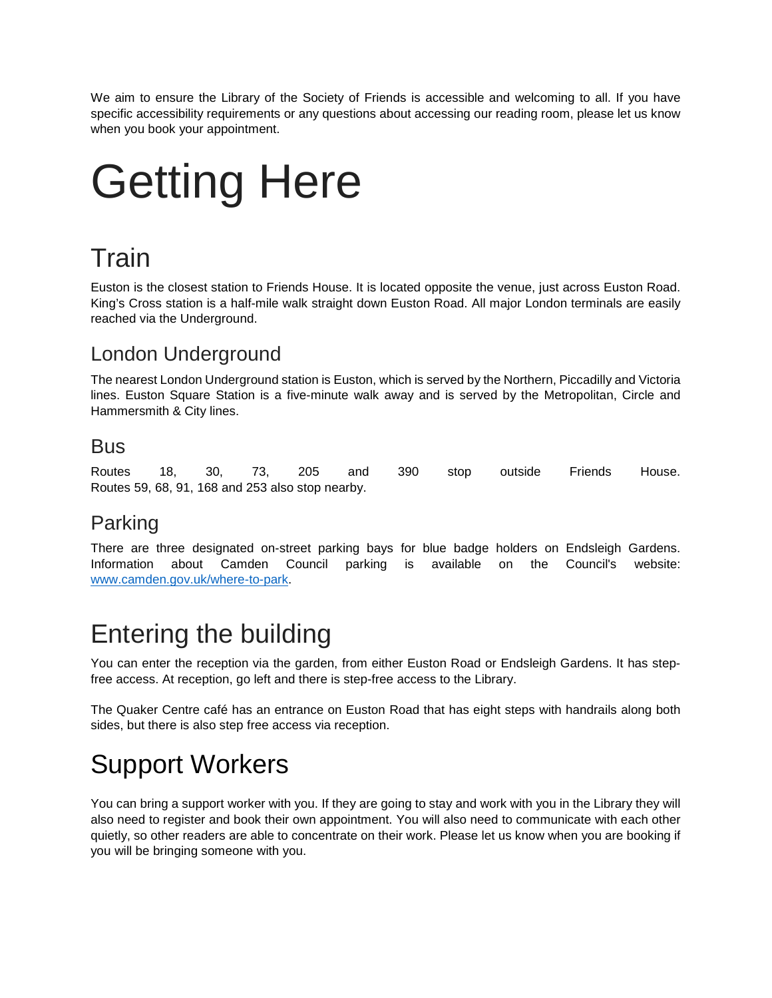We aim to ensure the Library of the Society of Friends is accessible and welcoming to all. If you have specific accessibility requirements or any questions about accessing our reading room, please let us know when you book your appointment.

# Getting Here

## Train

Euston is the closest station to Friends House. It is located opposite the venue, just across Euston Road. King's Cross station is a half-mile walk straight down Euston Road. All major London terminals are easily reached via the Underground.

#### London Underground

The nearest London Underground station is Euston, which is served by the Northern, Piccadilly and Victoria lines. Euston Square Station is a five-minute walk away and is served by the Metropolitan, Circle and Hammersmith & City lines.

#### Bus

Routes 18, 30, 73, 205 and 390 stop outside Friends House. Routes 59, 68, 91, 168 and 253 also stop nearby.

#### Parking

There are three designated on-street parking bays for blue badge holders on Endsleigh Gardens. Information about Camden Council parking is available on the Council's website: [www.camden.gov.uk/where-to-park.](http://www.camden.gov.uk/where-to-park)

#### Entering the building

You can enter the reception via the garden, from either Euston Road or Endsleigh Gardens. It has stepfree access. At reception, go left and there is step-free access to the Library.

The Quaker Centre café has an entrance on Euston Road that has eight steps with handrails along both sides, but there is also step free access via reception.

## Support Workers

You can bring a support worker with you. If they are going to stay and work with you in the Library they will also need to register and book their own appointment. You will also need to communicate with each other quietly, so other readers are able to concentrate on their work. Please let us know when you are booking if you will be bringing someone with you.